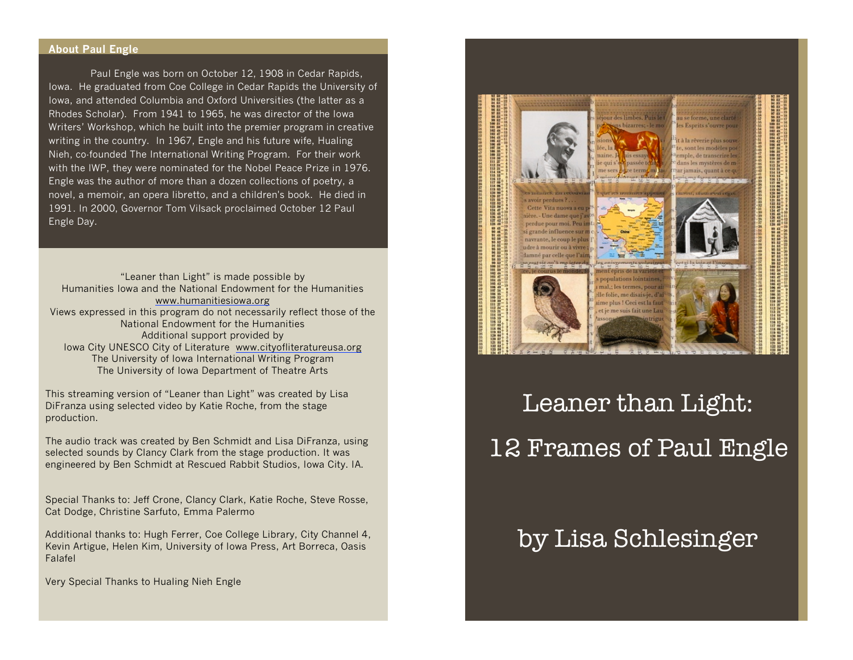#### **About Paul Engle**

Paul Engle was born on October 12, 1908 in Cedar Rapids, Iowa. He graduated from Coe College in Cedar Rapids the University of Iowa, and attended Columbia and Oxford Universities (the latter as a Rhodes Scholar). From 1941 to 1965, he was director of the Iowa Writers' Workshop, which he built into the premier program in creative writing in the country. In 1967, Engle and his future wife, Hualing Nieh, co-founded The International Writing Program. For their work with the IWP, they were nominated for the Nobel Peace Prize in 1976. Engle was the author of more than a dozen collections of poetry, a novel, a memoir, an opera libretto, and a children's book. He died in 1991. In 2000, Governor Tom Vilsack proclaimed October 12 Paul Engle Day.

"Leaner than Light" is made possible by Humanities Iowa and the National Endowment for the Humanities www.humanitiesiowa.org Views expressed in this program do not necessarily reflect those of the National Endowment for the Humanities Additional support provided by Iowa City UNESCO City of Literature www.cityofliteratureusa.org The University of Iowa International Writing Program The University of Iowa Department of Theatre Arts

This streaming version of "Leaner than Light" was created by Lisa DiFranza using selected video by Katie Roche, from the stage production.

The audio track was created by Ben Schmidt and Lisa DiFranza, using selected sounds by Clancy Clark from the stage production. It was engineered by Ben Schmidt at Rescued Rabbit Studios, Iowa City. IA.

Special Thanks to: Jeff Crone, Clancy Clark, Katie Roche, Steve Rosse, Cat Dodge, Christine Sarfuto, Emma Palermo

Additional thanks to: Hugh Ferrer, Coe College Library, City Channel 4, Kevin Artigue, Helen Kim, University of Iowa Press, Art Borreca, Oasis Falafel

Very Special Thanks to Hualing Nieh Engle



Leaner than Light: 12 Frames of Paul Engle

# by Lisa Schlesinger